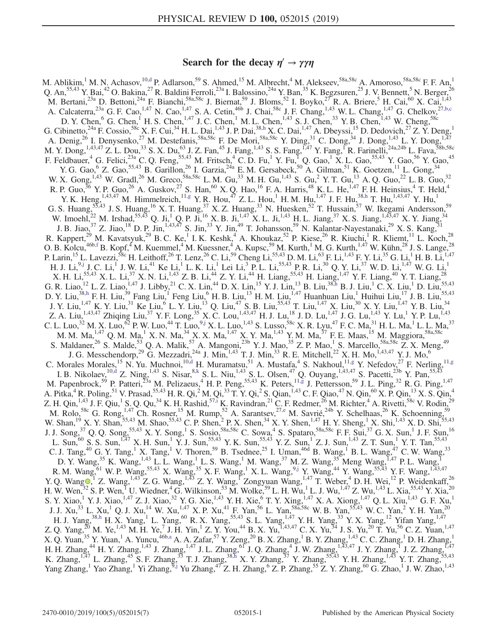# Search for the decay  $\eta' \rightarrow \gamma \gamma \eta$

<span id="page-0-8"></span><span id="page-0-7"></span><span id="page-0-6"></span><span id="page-0-5"></span><span id="page-0-4"></span><span id="page-0-3"></span><span id="page-0-2"></span><span id="page-0-1"></span><span id="page-0-0"></span>M. Ablikim,<sup>1</sup> M. N. Achasov,<sup>10[,d](#page-2-0)</sup> P. Adlarson,<sup>59</sup> S. Ahmed,<sup>15</sup> M. Albrecht,<sup>4</sup> M. Alekseev,<sup>58a,58c</sup> A. Amoroso,<sup>58a,58c</sup> F. F. An,<sup>1</sup> Q. An,  $55,43$  Y. Bai,  $42$  O. Bakina,  $27$  R. Baldini Ferroli,  $23a$  I. Balossino,  $24a$  Y. Ban,  $35$  K. Begzsuren,  $25$  J. V. Bennett,  $5$  N. Berger,  $26$ M. Bertani,<sup>23a</sup> D. Bettoni,<sup>24a</sup> F. Bianchi,<sup>58a,58c</sup> J. Biernat,<sup>59</sup> J. Bloms,<sup>52</sup> I. Boyko,<sup>27</sup> R. A. Briere,<sup>5</sup> H. Cai,<sup>60</sup> X. Cai,<sup>1,43</sup> A. Calcaterra,  $^{23a}$  G. F. Cao,  $^{1,47}$  N. Cao,  $^{1,47}$  S. A. Cetin,  $^{46b}$  J. Chai,  $^{58c}$  J. F. Chang,  $^{1,43}$  W. L. Chang,  $^{1,47}$  G. Chelkov,  $^{27,b,c}$  $^{27,b,c}$  $^{27,b,c}$ D. Y. Chen,  $^{6}$  G. Chen,  $^{1}$  H. S. Chen,  $^{1,47}$  J. C. Chen,  $^{1}$  M. L. Chen,  $^{1,43}$  S. J. Chen,  $^{33}$  Y. B. Chen,  $^{1,43}$  W. Cheng,  $^{58c}$ G. Cibinetto,<sup>24a</sup> F. Cossio,<sup>58c</sup> X. F. Cui,<sup>34</sup> H. L. Dai,<sup>1,43</sup> J. P. Dai,<sup>3[8,h](#page-2-2)</sup> X. C. Dai,<sup>1,47</sup> A. Dbeyssi,<sup>15</sup> D. Dedovich,<sup>27</sup> Z. Y. Deng,<sup>1</sup> A. Denig,<sup>26</sup> I. Denysenko,<sup>27</sup> M. Destefanis,<sup>58a,58c</sup> F. De Mori,<sup>58a,58c</sup> Y. Ding,<sup>31</sup> C. Dong,<sup>34</sup> J. Dong,<sup>1,43</sup> L. Y. Dong,<sup>1,47</sup> M. Y. Dong, <sup>1,43,47</sup> Z. L. Dou,<sup>33</sup> S. X. Du,<sup>63</sup> J. Z. Fan,<sup>45</sup> J. Fang, <sup>1,43</sup> S. S. Fang, <sup>1,47</sup> Y. Fang, <sup>1</sup>R. Farinelli, <sup>24a,24b</sup> L. Fava, <sup>58b,58c</sup> F. Feldbauer, <sup>4</sup> G. Felici,<sup>23a</sup> C. Q. Feng,<sup>55,43</sup> M. Fritsch, <sup>4</sup> C. D. Fu, <sup>1</sup> Y. Fu, <sup>1</sup> Q. Gao, <sup>1</sup> X. L. Gao,<sup>55,43</sup> Y. Gao, <sup>56</sup> Y. Gao, <sup>45</sup> Y. G. Gao,  $\rm{6}$  Z. Gao,  $\rm{55,43}$  B. Garillon,  $\rm{26}$  I. Garzia,  $\rm{24a}$  E. M. Gersabeck,  $\rm{50}$  A. Gilman,  $\rm{51}$  K. Goetzen,  $\rm{11}$  L. Gong,  $\rm{34}$ W. X. Gong,  $^{1,43}$  W. Gradl,  $^{26}$  M. Greco,  $^{58a,58c}$  L. M. Gu,  $^{33}$  M. H. Gu,  $^{1,43}$  S. Gu,  $^{2}$  Y. T. Gu,  $^{13}$  A. Q. Guo,  $^{22}$  L. B. Guo,  $^{32}$ R. P. Guo, <sup>36</sup> Y. P. Guo, <sup>26</sup> A. Guskov, <sup>27</sup> S. Han, <sup>60</sup> X. Q. Hao, <sup>16</sup> F. A. Harris, <sup>48</sup> K. L. He, <sup>1,47</sup> F. H. Heinsius, <sup>4</sup> T. Held, <sup>4</sup> Y. K. Heng,  $^{1,43,47}_{1,43,47}$  M. Himmelreich,  $^{11, g}$  Y. R. Hou,  $^{47}$  Z. L. Hou,  $^{1}$  H. M. Hu,  $^{1,47}$  J. F. Hu,  $^{38, h}$  T. Hu,  $^{1,43,47}$  Y. Hu,  $^{1}$ G. S. Huang,  $55,43$  J. S. Huang,  $^{16}$  X. T. Huang,  $^{37}$  X. Z. Huang,  $^{33}$  N. Huesken,  $^{52}$  T. Hussain,  $^{57}$  W. Ikegami Andersson,  $^{59}$ W. Imoehl,<sup>22</sup> M. Irshad,<sup>55,43</sup> Q. Ji,<sup>1</sup> Q. P. Ji,<sup>16</sup> X. B. Ji,<sup>1,47</sup> X. L. Ji,<sup>1,43</sup> H. L. Jiang,<sup>37</sup> X. S. Jiang,<sup>1,43,47</sup> X. Y. Jiang,<sup>34</sup> J. B. Jiao,  $3^7$  Z. Jiao,  $1^8$  D. P. Jin,  $1,43,47$  S. Jin,  $3^3$  Y. Jin,  $4^9$  T. Johansson,  $5^9$  N. Kalantar-Nayestanaki,  $2^9$  X. S. Kang,  $31$ R. Kappert,<sup>29</sup> M. Kavatsyuk,<sup>29</sup> B. C. Ke,<sup>1</sup> I. K. Keshk,<sup>4</sup> A. Khoukaz,<sup>52</sup> P. Kiese,<sup>26</sup> R. Kiuchi,<sup>1</sup> R. Kliemt,<sup>11</sup> L. Koch,<sup>28</sup> O. B. Kolcu,<sup>46b[,f](#page-2-4)</sup> B. Kopf,<sup>4</sup> M. Kuemmel,<sup>4</sup> M. Kuessner,<sup>4</sup> A. Kupsc,<sup>59</sup> M. Kurth,<sup>1</sup> M. G. Kurth,<sup>1,47</sup> W. Kühn,<sup>28</sup> J. S. Lange,<sup>28</sup> P. Larin,<sup>15</sup> L. Lavezzi,<sup>58c</sup> H. Leithoff,<sup>26</sup> T. Lenz,<sup>26</sup> C. Li,<sup>59</sup> Cheng Li,<sup>55,43</sup> D. M. Li,<sup>63</sup> F. Li,<sup>1,43</sup> F. Y. Li,<sup>35</sup> G. Li,<sup>1</sup> H. B. Li,<sup>1,47</sup> H. J. Li, $^{9, j}$  J. C. Li, $^{1}$  J. W. Li, $^{41}$  Ke Li, $^{1}$  L. K. Li, $^{1}$  Lei Li, $^{3}$  P. L. Li, $^{55, 43}$  P. R. Li, $^{30}$  Q. Y. Li, $^{37}$  W. D. Li, $^{1, 47}$  W. G. Li, $^{1}$ X. H. Li,<sup>55,43</sup> X. L. Li,<sup>37</sup> X. N. Li,<sup>1,43</sup> Z. B. Li,<sup>44</sup> Z. Y. Li,<sup>44</sup> H. Liang,<sup>55,43</sup> H. Liang,<sup>1,47</sup> Y. F. Liang,<sup>40</sup> Y. T. Liang,<sup>28</sup> G. R. Liao,  $^{12}$  L. Z. Liao,  $^{1,47}$  J. Libby,  $^{21}$  C. X. Lin,  $^{44}$  D. X. Lin,  $^{15}$  Y. J. Lin,  $^{13}$  B. Liu,  $^{38, h}$  B. J. Liu,  $^{1}$  C. X. Liu,  $^{1}$  D. Liu,  $^{55,43}$ D. Y. Liu,<sup>3[8,h](#page-2-2)</sup> F. H. Liu,<sup>39</sup> Fang Liu,<sup>1</sup> Feng Liu,<sup>6</sup> H. B. Liu,<sup>13</sup> H. M. Liu,<sup>1,47</sup> Huanhuan Liu,<sup>1</sup> Huihui Liu,<sup>17</sup> J. B. Liu,<sup>55,43</sup> J. Y. Liu,<sup>1,47</sup> K. Y. Liu,<sup>31</sup> Ke Liu,<sup>6</sup> L. Y. Liu,<sup>13</sup> Q. Liu,<sup>47</sup> S. B. Liu,<sup>55,43</sup> T. Liu,<sup>1,47</sup> X. Liu,<sup>30</sup> X. Y. Liu,<sup>1,47</sup> Y. B. Liu,<sup>34</sup> Z. A. Liu,<sup>1,43,47</sup> Zhiqing Liu,<sup>37</sup> Y. F. Long,<sup>35</sup> X. C. Lou,<sup>1,43,47</sup> H. J. Lu,<sup>18</sup> J. D. Lu,<sup>1,47</sup> J. G. Lu,<sup>1,43</sup> Y. Lu,<sup>1</sup> Y. P. Lu,<sup>1,43</sup> C. L. Luo,<sup>32</sup> M. X. Luo,<sup>62</sup> P. W. Luo,<sup>44</sup> T. Luo,<sup>9[,j](#page-2-5)</sup> X. L. Luo,<sup>1,43</sup> S. Lusso,<sup>58c</sup> X. R. Lyu,<sup>47</sup> F. C. Ma,<sup>31</sup> H. L. Ma,<sup>1</sup> L. L. Ma,<sup>37</sup> M. M. Ma, $^{1,47}$  Q. M. Ma, $^1$  X. N. Ma, $^{34}$  X. X. Ma, $^{1,47}$  X. Y. Ma, $^{1,43}$  Y. M. Ma, $^{37}$  F. E. Maas, $^{15}$  M. Maggiora, $^{58a,58c}$ S. Maldaner,<sup>26</sup> S. Malde,<sup>53</sup> Q. A. Malik,<sup>57</sup> A. Mangoni,<sup>23b</sup> Y. J. Mao,<sup>35</sup> Z. P. Mao,<sup>1</sup> S. Marcello,<sup>58a,58c</sup> Z. X. Meng,<sup>49</sup> J. G. Messchendorp,<sup>29</sup> G. Mezzadri,<sup>24a</sup> J. Min,<sup>1,43</sup> T. J. Min,<sup>33</sup> R. E. Mitchell,<sup>22</sup> X. H. Mo,<sup>1,43,47</sup> Y. J. Mo,<sup>6</sup> C. Morales Morales,<sup>15</sup> N. Yu. Muchnoi,<sup>1[0,d](#page-2-0)</sup> H. Muramatsu,<sup>51</sup> A. Mustafa,<sup>4</sup> S. Nakhoul,<sup>1[1,g](#page-2-3)</sup> Y. Nefedov,<sup>27</sup> F. Nerling,<sup>11[,g](#page-2-3)</sup> I. B. Nikolaev,  $^{10, d}$  Z. Ning,  $^{1, 43}$  S. Nisar,  $^{8, k}$  S. L. Niu,  $^{1, 43}$  S. L. Olsen,  $^{47}$  Q. Ouyang,  $^{1, 43, 47}$  S. Pacetti,  $^{23b}$  Y. Pan,  $^{55, 43}$ M. Papenbrock,<sup>59</sup> P. Patteri,<sup>23a</sup> M. Pelizaeus,<sup>4</sup> H. P. Peng,<sup>55,43</sup> K. Peters,<sup>1[1,g](#page-2-3)</sup> J. Pettersson,<sup>59</sup> J. L. Ping,<sup>32</sup> R. G. Ping,<sup>1,47</sup> A. Pitka,<sup>4</sup> R. Poling,<sup>51</sup> V. Prasad,<sup>55,43</sup> H. R. Qi,<sup>2</sup> M. Qi,<sup>33</sup> T. Y. Qi,<sup>2</sup> S. Qian,<sup>1,43</sup> C. F. Qiao,<sup>47</sup> N. Qin,<sup>60</sup> X. P. Qin,<sup>13</sup> X. S. Qin,<sup>4</sup> Z. H. Qin,  $^{1,43}$  J. F. Qiu,  $^{1}$  S. Q. Qu,  $^{34}$  K. H. Rashid,  $^{57,1}$  K. Ravindran,  $^{21}$  C. F. Redmer,  $^{26}$  M. Richter,  $^{4}$  A. Rivetti,  $^{58c}$  V. Rodin,  $^{29}$ M. Rolo,<sup>58c</sup> G. Rong,<sup>1,47</sup> Ch. Rosner,<sup>15</sup> M. Rump,<sup>52</sup> A. Sarantsev,<sup>2[7,e](#page-2-8)</sup> M. Savrié,<sup>24b</sup> Y. Schelhaas,<sup>26</sup> K. Schoenning,<sup>59</sup> W. Shan,<sup>19</sup> X. Y. Shan,<sup>55,43</sup> M. Shao,<sup>55,43</sup> C. P. Shen,<sup>2</sup> P. X. Shen,<sup>34</sup> X. Y. Shen,<sup>1,47</sup> H. Y. Sheng,<sup>1</sup> X. Shi,<sup>1,43</sup> X. D. Shi,<sup>55,43</sup> J. J. Song,<sup>37</sup> Q. Q. Song,<sup>55,43</sup> X. Y. Song,<sup>1</sup> S. Sosio,<sup>58a,58c</sup> C. Sowa,<sup>4</sup> S. Spataro,<sup>58a,58c</sup> F. F. Sui,<sup>37</sup> G. X. Sun,<sup>1</sup> J. F. Sun,<sup>16</sup> L. Sun,<sup>60</sup> S. S. Sun,<sup>1,47</sup> X. H. Sun,<sup>1</sup> Y. J. Sun,<sup>55,43</sup> Y. K. Sun,<sup>55,43</sup> Y. Z. Sun,<sup>1</sup> Z. J. Sun,<sup>1,43</sup> Z. T. Sun,<sup>1</sup> Y. T. Tan,<sup>55,43</sup> C. J. Tang,<sup>40</sup> G. Y. Tang,<sup>1</sup> X. Tang,<sup>1</sup> V. Thoren,<sup>59</sup> B. Tsednee,<sup>25</sup> I. Uman,<sup>46d</sup> B. Wang,<sup>1</sup> B. L. Wang,<sup>47</sup> C. W. Wang,<sup>33</sup> D. Y. Wang,  $^{35}$  K. Wang,  $^{1,43}$  L. L. Wang,  $^{1}$  L. S. Wang,  $^{1}$  M. Wang,  $^{37}$  M. Z. Wang,  $^{35}$  Meng Wang,  $^{1,47}$  P. L. Wang,  $^{1}$ R. M. Wang,  $^{61}$  W. P. Wang,  $^{55,43}$  X. Wang,  $^{35}$  X. F. Wang,  $^{1}$  X. L. Wang,  $^{9,1}$  Y. Wang,  $^{44}$  Y. Wang,  $^{55,43}$  Y. F. Wang,  $^{1,43,47}$ Y. Q. Wang  $\bullet$ , <sup>1</sup> Z. Wang, <sup>1,43</sup> Z. G. Wang, <sup>1,43</sup> Z. Y. Wang, <sup>1</sup> Zongyuan Wang, <sup>1,47</sup> T. Weber, <sup>4</sup> D. H. Wei, <sup>12</sup> P. Weidenkaff, <sup>26</sup> H. W. Wen,  $^{32}$  S. P. Wen, U. Wiedner,  $^{4}$  G. Wilkinson,  $^{53}$  M. Wolke,  $^{59}$  L. H. Wu,  $^{1}$  L. J. Wu,  $^{1,47}$  Z. Wu,  $^{1,43}$  L. Xia,  $^{55,43}$  Y. Xia,  $^{20}$ S. Y. Xiao,<sup>1</sup> Y. J. Xiao,<sup>1,47</sup> Z. J. Xiao,<sup>32</sup> Y. G. Xie,<sup>1,43</sup> Y. H. Xie,<sup>6</sup> T. Y. Xing,<sup>1,47</sup> X. A. Xiong,<sup>1,47</sup> Q. L. Xiu,<sup>1,43</sup> G. F. Xu,<sup>1</sup> J. J. Xu,<sup>33</sup> L. Xu,<sup>1</sup> Q. J. Xu,<sup>14</sup> W. Xu,<sup>1,47</sup> X. P. Xu,<sup>41</sup> F. Yan,<sup>56</sup> L. Yan,<sup>58a,58c</sup> W. B. Yan,<sup>55,43</sup> W. C. Yan,<sup>2</sup> Y. H. Yan,<sup>20</sup> H. J. Yang,<sup>38[,h](#page-2-2)</sup> H. X. Yang,<sup>1</sup> L. Yang,<sup>60</sup> R. X. Yang,<sup>55,43</sup> S. L. Yang,<sup>1,47</sup> Y. H. Yang,<sup>33</sup> Y. X. Yang,<sup>12</sup> Yifan Yang,<sup>1,47</sup> Z. Q. Yang,<sup>20</sup> M. Ye,<sup>1,43</sup> M. H. Ye,<sup>7</sup> J. H. Yin,<sup>1</sup> Z. Y. You,<sup>44</sup> B. X. Yu,<sup>1,43,47</sup> C. X. Yu,<sup>34</sup> J. S. Yu,<sup>20</sup> T. Yu,<sup>56</sup> C. Z. Yuan,<sup>1,47</sup> X. Q. Yuan,<sup>35</sup> Y. Yuan,<sup>1</sup> A. Yuncu,<sup>46b[,a](#page-2-9)</sup> A. A. Zafar,<sup>57</sup> Y. Zeng,<sup>20</sup> B. X. Zhang,<sup>1</sup> B. Y. Zhang,<sup>1,43</sup> C. C. Zhang,<sup>1</sup> D. H. Zhang,<sup>1</sup> H. H. Zhang,<sup>44</sup> H. Y. Zhang,<sup>1,43</sup> J. Zhang,<sup>1,47</sup> J. L. Zhang,<sup>61</sup> J. Q. Zhang,<sup>4</sup> J. W. Zhang,<sup>1,43,47</sup> J. Y. Zhang,<sup>1</sup> J. Z. Zhang,<sup>1,47</sup> K. Zhang,<sup>1,47</sup> L. Zhang,<sup>45</sup> S. F. Zhang,<sup>33</sup> T. J. Zhang,<sup>38[,h](#page-2-2)</sup> X. Y. Zhang,<sup>37</sup> Y. Zhang,<sup>55,43</sup> Y. H. Zhang,<sup>1,43</sup> Y. T. Zhang,<sup>55,43</sup> Yang Zhang,<sup>1</sup> Yao Zhang,<sup>1</sup> Yi Zhang,<sup>[9,j](#page-2-5)</sup> Yu Zhang,<sup>47</sup> Z. H. Zhang,<sup>6</sup> Z. P. Zhang,<sup>55</sup> Z. Y. Zhang,<sup>60</sup> G. Zhao,<sup>1</sup> J. W. Zhao,<sup>1,43</sup>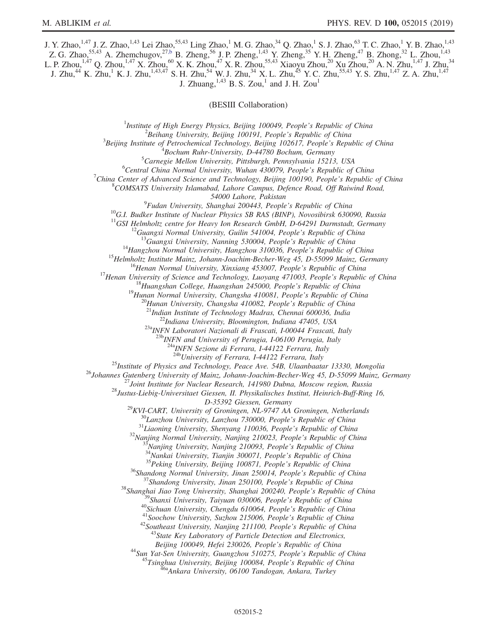J. Y. Zhao,<sup>1,47</sup> J. Z. Zhao,<sup>1,43</sup> Lei Zhao,<sup>55,43</sup> Ling Zhao,<sup>1</sup> M. G. Zhao,<sup>34</sup> Q. Zhao,<sup>1</sup> S. J. Zhao,<sup>63</sup> T. C. Zhao,<sup>1</sup> Y. B. Zhao,<sup>1,43</sup> Z. G. Zhao,  $^{55,43}$  A. Zhemchugov,  $^{27, b}$  B. Zheng,  $^{56}$  J. P. Zheng,  $^{1,43}$  Y. Zheng,  $^{35}$  Y. H. Zheng,  $^{47}$  B. Zhong,  $^{32}$  L. Zhou,  $^{1,43}$ L. P. Zhou,<sup>1,47</sup> Q. Zhou,<sup>1,47</sup> X. Zhou,<sup>60</sup> X. K. Zhou,<sup>47</sup> X. R. Zhou,<sup>55,43</sup> Xiaoyu Zhou,<sup>20</sup> Xu Zhou,<sup>20</sup> A. N. Zhu,<sup>1,47</sup> J. Zhu,<sup>34</sup> J. Zhu, $^{44}$  K. Zhu, $^{1}$  K. J. Zhu, $^{1,43,47}$  S. H. Zhu, $^{54}$  W. J. Zhu, $^{34}$  X. L. Zhu, $^{45}$  Y. C. Zhu, $^{55,43}$  Y. S. Zhu, $^{1,47}$  Z. A. Zhu, $^{1,47}$ J. Zhuang,  $^{1,43}$  B. S. Zou, $^1$  and J. H. Zou<sup>1</sup>

(BESIII Collaboration)

<sup>1</sup>Institute of High Energy Physics, Beijing 100049, People's Republic of China  $\frac{2 \text{Poibana}}{2}$  ${}^{2}$ Beihang University, Beijing 100191, People's Republic of China  $B^3$ Beijing Institute of Petrochemical Technology, Beijing 102617, People's Republic of China  $B$ ochum Ruhr-University, D-44780 Bochum, Germany

 ${}^{5}$ Carnegie Mellon University, Pittsburgh, Pennsylvania 15213, USA

 ${}^{6}$ Central China Normal University, Wuhan 430079, People's Republic of China

<sup>7</sup>China Center of Advanced Science and Technology, Beijing 100190, People's Republic of China

 $8$ COMSATS University Islamabad, Lahore Campus, Defence Road, Off Raiwind Road,

54000 Lahore, Pakistan<br><sup>9</sup>Fudan University, Shanghai 200443, People's Republic of China

<sup>10</sup>G.I. Budker Institute of Nuclear Physics SB RAS (BINP), Novosibirsk 630090, Russia <sup>11</sup>GSI Helmholtz centre for Heavy Ion Research GmbH, D-64291 Darmstadt, Germany

<sup>11</sup>GSI Helmholtz centre for Heavy Ion Research GmbH, D-64291 Darmstadt, Germany<br><sup>12</sup>Guangxi Normal University, Guilin 541004, People's Republic of China<br><sup>13</sup>Guangxi University, Nanning 530004, People's Republic of China<br>

 $^{23a}$ INFN Laboratori Nazionali di Frascati, I-00044 Frascati, Italy<br> $^{23b}$ INFN and University of Perugia, I-06100 Perugia, Italy

 $\frac{^{24a}NFN}{^{24b}University}$  of Ferrara, I-44122 Ferrara, Italy  $\frac{^{24b}University}$  of Ferrara, I-44122 Ferrara, Italy

<sup>25</sup>Institute of Physics and Technology, Peace Ave. 54B, Ulaanbaatar 13330, Mongolia<br><sup>26</sup>Johannes Gutenberg University of Mainz, Johann-Joachim-Becher-Weg 45, D-55099 Mainz, Germany<br><sup>27</sup>Joint Institute for Nuclear Researc

 $D-35392$  Giessen, Germany<br>  $D-35392$  Giessen, Germany<br>  $^{29}KVI-CART$ , University of Groningen, NL-9747 AA Groningen, Netherlands<br>  $^{30}Lanzhou University$ , Lanzhou 730000, People's Republic of China<br>  $^{31}Liaoning University$ , Shenyang 110036, People's

Beijing 100049, Hefei 230026, People's Republic of China<br><sup>44</sup>Sun Yat-Sen University, Guangzhou 510275, People's Republic of China<br><sup>45</sup>Tsinghua University, Beijing 100084, People's Republic of China<br><sup>45</sup>Ankara University, 0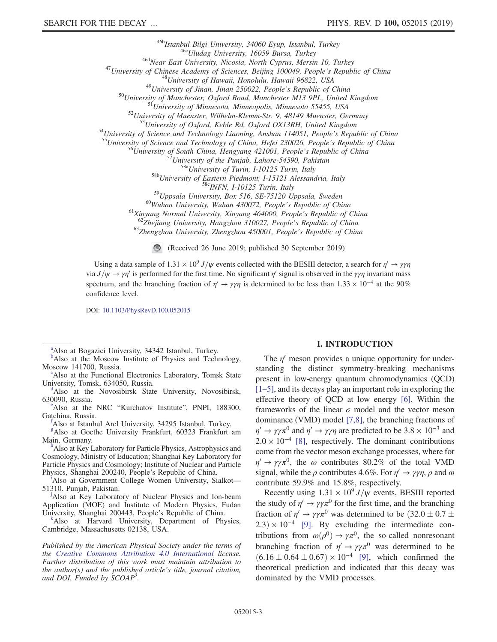<sup>46b</sup>Istanbul Bilgi University, 34060 Eyup, Istanbul, Turkey<br><sup>46b</sup>Istanbul Bilgi University, 16059 Bursa, Turkey<br><sup>46d</sup>Near East University, Nicosia, North Cyprus, Mersin 10, Turkey<br><sup>46d</sup>Near East University of China (*a*<sup></sup>

<sup>58b</sup>University of Eastern Piedmont, I-15121 Alessandria, Italy<br><sup>58c</sup>INFN, I-10125 Turin, Italy<br><sup>59c</sup>Uppsala University, Box 516, SE-75120 Uppsala, Sweden<br><sup>60</sup>Wuhan University, Wuhan 430072, People's Republic of China<br><sup>61</sup>

(Received 26 June 2019; published 30 September 2019)

Using a data sample of  $1.31 \times 10^9$  J/ $\psi$  events collected with the BESIII detector, a search for  $\eta' \to \gamma \gamma \eta$ via  $J/\psi \to \gamma \eta'$  is performed for the first time. No significant  $\eta'$  signal is observed in the  $\gamma \gamma \eta$  invariant mass spectrum, and the branching fraction of  $\eta' \to \gamma \gamma \eta$  is determined to be less than 1.33 × 10<sup>-4</sup> at the 90% confidence level.

DOI: [10.1103/PhysRevD.100.052015](https://doi.org/10.1103/PhysRevD.100.052015)

<span id="page-2-9"></span><sup>[a](#page-0-0)</sup>Also at Bogazici University, 34342 Istanbul, Turkey.

Also at the Functional Electronics Laboratory, Tomsk State University, Tomsk, 634050, Russia.

<span id="page-2-0"></span><sup>1</sup>Also at the Novosibirsk State University, Novosibirsk, 630090, Russia.

<span id="page-2-8"></span><sup>e</sup>Also at the NRC "Kurchatov Institute", PNPI, 188300, Gatchina, Russia.

<span id="page-2-4"></span>Also at Istanbul Arel University, 34295 Istanbul, Turkey.

<span id="page-2-3"></span>[g](#page-0-5) Also at Goethe University Frankfurt, 60323 Frankfurt am Main, Germany.

<span id="page-2-2"></span><sup>h</sup>Also at Key Laboratory for Particle Physics, Astrophysics and Cosmology, Ministry of Education; Shanghai Key Laboratory for Particle Physics and Cosmology; Institute of Nuclear and Particle Phys[i](#page-0-7)cs, Shanghai 200240, People's Republic of China.

<span id="page-2-7"></span>Also at Government College Women University, Sialkot— 51310. Punjab, Pakistan. [j](#page-0-8)

<span id="page-2-5"></span>Also at Key Laboratory of Nuclear Physics and Ion-beam Application (MOE) and Institute of Modern Physics, Fudan University, Shanghai 200443, People's Republic of China. [k](#page-0-2)

<span id="page-2-6"></span> $k$ Also at Harvard University, Department of Physics, Cambridge, Massachusetts 02138, USA.

Published by the American Physical Society under the terms of the [Creative Commons Attribution 4.0 International](https://creativecommons.org/licenses/by/4.0/) license. Further distribution of this work must maintain attribution to the author(s) and the published article's title, journal citation, and DOI. Funded by SCOAP<sup>3</sup>.

## I. INTRODUCTION

The  $\eta'$  meson provides a unique opportunity for understanding the distinct symmetry-breaking mechanisms present in low-energy quantum chromodynamics (QCD) [\[1](#page-6-0)–5], and its decays play an important role in exploring the effective theory of QCD at low energy [\[6\]](#page-6-1). Within the frameworks of the linear  $\sigma$  model and the vector meson dominance (VMD) model [\[7,8\],](#page-6-2) the branching fractions of  $\eta' \to \gamma \gamma \pi^0$  and  $\eta' \to \gamma \gamma \eta$  are predicted to be 3.8 × 10<sup>-3</sup> and  $2.0 \times 10^{-4}$  [\[8\]](#page-6-3), respectively. The dominant contributions come from the vector meson exchange processes, where for  $\eta' \rightarrow \gamma \gamma \pi^0$ , the  $\omega$  contributes 80.2% of the total VMD signal, while the  $\rho$  contributes 4.6%. For  $\eta' \rightarrow \gamma \gamma \eta$ ,  $\rho$  and  $\omega$ contribute 59.9% and 15.8%, respectively.

Recently using  $1.31 \times 10^9 J/\psi$  events, BESIII reported the study of  $\eta' \rightarrow \gamma \gamma \pi^0$  for the first time, and the branching fraction of  $\eta' \rightarrow \gamma \gamma \pi^0$  was determined to be  $(32.0 \pm 0.7 \pm 0.7)$  $2.3) \times 10^{-4}$  [\[9\]](#page-6-4). By excluding the intermediate contributions from  $\omega(\rho^0) \rightarrow \gamma \pi^0$ , the so-called nonresonant branching fraction of  $\eta' \rightarrow \gamma \gamma \pi^0$  was determined to be  $(6.16 \pm 0.64 \pm 0.67) \times 10^{-4}$  [\[9\],](#page-6-4) which confirmed the theoretical prediction and indicated that this decay was dominated by the VMD processes.

<span id="page-2-1"></span><sup>&</sup>lt;sup>[b](#page-0-1)</sup>Also at the Moscow Institute of Physics and Technology, Moscow 141700, Russia.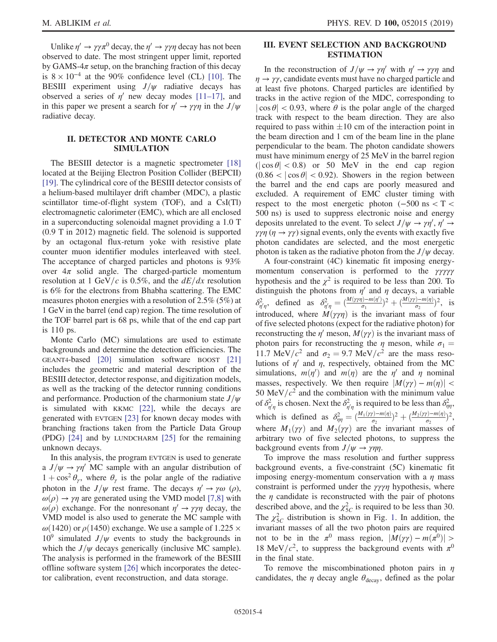M. ABLIKIM *et al.* **PHYS. REV. D 100,** 052015 (2019)

Unlike  $\eta' \to \gamma \gamma \pi^0$  decay, the  $\eta' \to \gamma \gamma \eta$  decay has not been observed to date. The most stringent upper limit, reported by GAMS- $4\pi$  setup, on the branching fraction of this decay is  $8 \times 10^{-4}$  at the 90% confidence level (CL) [\[10\].](#page-6-5) The BESIII experiment using  $J/\psi$  radiative decays has observed a series of  $\eta'$  new decay modes [\[11](#page-6-6)–17], and in this paper we present a search for  $\eta' \rightarrow \gamma \gamma \eta$  in the  $J/\psi$ radiative decay.

# II. DETECTOR AND MONTE CARLO SIMULATION

The BESIII detector is a magnetic spectrometer [\[18\]](#page-6-7) located at the Beijing Electron Position Collider (BEPCII) [\[19\]](#page-6-8). The cylindrical core of the BESIII detector consists of a helium-based multilayer drift chamber (MDC), a plastic scintillator time-of-flight system (TOF), and a CsI(Tl) electromagnetic calorimeter (EMC), which are all enclosed in a superconducting solenoidal magnet providing a 1.0 T (0.9 T in 2012) magnetic field. The solenoid is supported by an octagonal flux-return yoke with resistive plate counter muon identifier modules interleaved with steel. The acceptance of charged particles and photons is 93% over  $4\pi$  solid angle. The charged-particle momentum resolution at 1 GeV/c is 0.5%, and the  $dE/dx$  resolution is 6% for the electrons from Bhabha scattering. The EMC measures photon energies with a resolution of 2.5% (5%) at 1 GeV in the barrel (end cap) region. The time resolution of the TOF barrel part is 68 ps, while that of the end cap part is 110 ps.

Monte Carlo (MC) simulations are used to estimate backgrounds and determine the detection efficiencies. The GEANT4-based [\[20\]](#page-6-9) simulation software BOOST [\[21\]](#page-6-10) includes the geometric and material description of the BESIII detector, detector response, and digitization models, as well as the tracking of the detector running conditions and performance. Production of the charmonium state  $J/\psi$ is simulated with KKMC [\[22\],](#page-6-11) while the decays are generated with EVTGEN [\[23\]](#page-6-12) for known decay modes with branching fractions taken from the Particle Data Group (PDG) [\[24\]](#page-6-13) and by LUNDCHARM [\[25\]](#page-6-14) for the remaining unknown decays.

In this analysis, the program EVTGEN is used to generate a  $J/\psi \rightarrow \gamma \eta'$  MC sample with an angular distribution of  $1 + \cos^2 \theta_{\gamma}$ , where  $\theta_{\gamma}$  is the polar angle of the radiative photon in the  $J/\psi$  rest frame. The decays  $\eta' \rightarrow \gamma \omega$  (ρ),  $\omega(\rho) \rightarrow \gamma \eta$  are generated using the VMD model [\[7,8\]](#page-6-2) with  $\omega(\rho)$  exchange. For the nonresonant  $\eta' \rightarrow \gamma \gamma \eta$  decay, the VMD model is also used to generate the MC sample with  $ω(1420)$  or  $ρ(1450)$  exchange. We use a sample of 1.225  $\times$  $10^9$  simulated  $J/\psi$  events to study the backgrounds in which the  $J/\psi$  decays generically (inclusive MC sample). The analysis is performed in the framework of the BESIII offline software system [\[26\]](#page-6-15) which incorporates the detector calibration, event reconstruction, and data storage.

# III. EVENT SELECTION AND BACKGROUND ESTIMATION

In the reconstruction of  $J/\psi \rightarrow \gamma \eta'$  with  $\eta' \rightarrow \gamma \gamma \eta$  and  $\eta \rightarrow \gamma \gamma$ , candidate events must have no charged particle and at least five photons. Charged particles are identified by tracks in the active region of the MDC, corresponding to  $|\cos \theta|$  < 0.93, where  $\theta$  is the polar angle of the charged track with respect to the beam direction. They are also required to pass within  $\pm 10$  cm of the interaction point in the beam direction and 1 cm of the beam line in the plane perpendicular to the beam. The photon candidate showers must have minimum energy of 25 MeV in the barrel region  $(|\cos \theta| < 0.8)$  or 50 MeV in the end cap region  $(0.86 < |\cos \theta| < 0.92)$ . Showers in the region between the barrel and the end caps are poorly measured and excluded. A requirement of EMC cluster timing with respect to the most energetic photon  $(-500 \text{ ns} < T <$ 500 ns) is used to suppress electronic noise and energy deposits unrelated to the event. To select  $J/\psi \rightarrow \gamma \eta', \eta' \rightarrow$  $\gamma \gamma \eta$  ( $\eta \rightarrow \gamma \gamma$ ) signal events, only the events with exactly five photon candidates are selected, and the most energetic photon is taken as the radiative photon from the  $J/\psi$  decay.

A four-constraint (4C) kinematic fit imposing energymomentum conservation is performed to the γγγγγ hypothesis and the  $\chi^2$  is required to be less than 200. To distinguish the photons from  $\eta'$  and  $\eta$  decays, a variable  $\delta^2_{\eta'\eta}$ , defined as  $\delta^2_{\eta'\eta} = \left(\frac{M(\gamma\gamma\eta) - m(\eta')}{\sigma_1}\right)^2 + \left(\frac{M(\gamma\eta) - m(\eta)}{\sigma_2}\right)^2$ , is introduced, where  $M(\gamma\gamma\eta)$  is the invariant mass of four of five selected photons (expect for the radiative photon) for reconstructing the  $\eta'$  meson,  $M(\gamma\gamma)$  is the invariant mass of photon pairs for reconstructing the  $\eta$  meson, while  $\sigma_1 =$ 11.7 MeV/ $c^2$  and  $\sigma_2 = 9.7$  MeV/ $c^2$  are the mass resolutions of  $\eta'$  and  $\eta$ , respectively, obtained from the MC simulations,  $m(\eta')$  and  $m(\eta)$  are the  $\eta'$  and  $\eta$  nominal masses, respectively. We then require  $|M(\gamma\gamma) - m(\eta)|$  < 50 MeV/ $c<sup>2</sup>$  and the combination with the minimum value of  $\delta^2_{\eta'\eta}$  is chosen. Next the  $\delta^2_{\eta'\eta}$  is required to be less than  $\delta^2_{\eta\eta}$ , which is defined as  $\delta_{\eta\eta}^2 = \left(\frac{M_1(\gamma\gamma) - m(\eta)}{\sigma_2}\right)^2 + \left(\frac{M_2(\gamma\gamma) - m(\eta)}{\sigma_2}\right)^2$ , where  $M_1(\gamma\gamma)$  and  $M_2(\gamma\gamma)$  are the invariant masses of arbitrary two of five selected photons, to suppress the background events from  $J/\psi \rightarrow \gamma \eta \eta$ .

To improve the mass resolution and further suppress background events, a five-constraint (5C) kinematic fit imposing energy-momentum conservation with a  $\eta$  mass constraint is performed under the  $\gamma \gamma \gamma \eta$  hypothesis, where the  $\eta$  candidate is reconstructed with the pair of photons described above, and the  $\chi^2_{5C}$  is required to be less than 30. The  $\chi^2_{5C}$  distribution is shown in Fig. [1.](#page-4-0) In addition, the invariant masses of all the two photon pairs are required not to be in the  $\pi^0$  mass region,  $|M(\gamma\gamma) - m(\pi^0)| >$ 18 MeV/ $c^2$ , to suppress the background events with  $\pi^0$ in the final state.

To remove the miscombinationed photon pairs in  $\eta$ candidates, the  $\eta$  decay angle  $\theta_{\text{decay}}$ , defined as the polar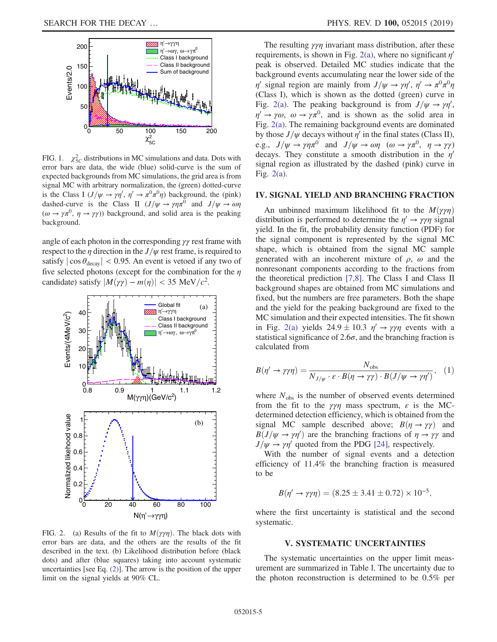<span id="page-4-0"></span>

FIG. 1.  $\chi^2_{5C}$  distributions in MC simulations and data. Dots with error bars are data, the wide (blue) solid-curve is the sum of expected backgrounds from MC simulations, the grid area is from signal MC with arbitrary normalization, the (green) dotted-curve is the Class I  $(J/\psi \rightarrow \gamma \eta', \eta' \rightarrow \pi^0 \pi^0 \eta)$  background, the (pink) dashed-curve is the Class II  $(J/\psi \rightarrow \gamma \eta \pi^0$  and  $J/\psi \rightarrow \omega \eta$  $(\omega \to \gamma \pi^0, \eta \to \gamma \gamma)$  background, and solid area is the peaking background.

angle of each photon in the corresponding  $\gamma\gamma$  rest frame with respect to the  $\eta$  direction in the  $J/\psi$  rest frame, is required to satisfy  $|\cos \theta_{\text{decay}}|$  < 0.95. An event is vetoed if any two of five selected photons (except for the combination for the  $\eta$ candidate) satisfy  $|M(\gamma \gamma) - m(\eta)| < 35 \text{ MeV}/c^2$ .

<span id="page-4-1"></span>

FIG. 2. (a) Results of the fit to  $M(\gamma\gamma\eta)$ . The black dots with error bars are data, and the others are the results of the fit described in the text. (b) Likelihood distribution before (black dots) and after (blue squares) taking into account systematic uncertainties [see Eq. [\(2\)](#page-5-1)]. The arrow is the position of the upper limit on the signal yields at 90% CL.

The resulting  $\gamma \gamma \eta$  invariant mass distribution, after these requirements, is shown in Fig. [2\(a\)](#page-4-1), where no significant  $\eta'$ peak is observed. Detailed MC studies indicate that the background events accumulating near the lower side of the  $\eta'$  signal region are mainly from  $J/\psi \to \gamma \eta', \eta' \to \pi^0 \pi^0 \eta$ (Class I), which is shown as the dotted (green) curve in Fig. [2\(a\)](#page-4-1). The peaking background is from  $J/\psi \rightarrow \gamma \eta'$ ,  $\eta' \to \gamma \omega$ ,  $\omega \to \gamma \pi^0$ , and is shown as the solid area in Fig. [2\(a\).](#page-4-1) The remaining background events are dominated by those  $J/\psi$  decays without  $\eta'$  in the final states (Class II), e.g.,  $J/\psi \rightarrow \gamma \eta \pi^0$  and  $J/\psi \rightarrow \omega \eta$   $(\omega \rightarrow \gamma \pi^0, \eta \rightarrow \gamma \gamma)$ decays. They constitute a smooth distribution in the  $\eta'$ signal region as illustrated by the dashed (pink) curve in Fig. [2\(a\).](#page-4-1)

#### IV. SIGNAL YIELD AND BRANCHING FRACTION

An unbinned maximum likelihood fit to the  $M(\gamma\gamma\eta)$ distribution is performed to determine the  $\eta' \rightarrow \gamma \gamma \eta$  signal yield. In the fit, the probability density function (PDF) for the signal component is represented by the signal MC shape, which is obtained from the signal MC sample generated with an incoherent mixture of  $\rho$ ,  $\omega$  and the nonresonant components according to the fractions from the theoretical prediction [\[7,8\].](#page-6-2) The Class I and Class II background shapes are obtained from MC simulations and fixed, but the numbers are free parameters. Both the shape and the yield for the peaking background are fixed to the MC simulation and their expected intensities. The fit shown in Fig. [2\(a\)](#page-4-1) yields  $24.9 \pm 10.3$   $\eta' \rightarrow \gamma \gamma \eta$  events with a statistical significance of 2.6 $\sigma$ , and the branching fraction is calculated from

$$
B(\eta' \to \gamma \gamma \eta) = \frac{N_{\text{obs}}}{N_{J/\psi} \cdot \varepsilon \cdot B(\eta \to \gamma \gamma) \cdot B(J/\psi \to \gamma \eta')}, \quad (1)
$$

where  $N_{obs}$  is the number of observed events determined from the fit to the  $\gamma\gamma\eta$  mass spectrum,  $\varepsilon$  is the MCdetermined detection efficiency, which is obtained from the signal MC sample described above;  $B(\eta \to \gamma \gamma)$  and  $B(J/\psi \rightarrow \gamma \eta')$  are the branching fractions of  $\eta \rightarrow \gamma \gamma$  and  $J/\psi \rightarrow \gamma \eta'$  quoted from the PDG [\[24\],](#page-6-13) respectively.

With the number of signal events and a detection efficiency of 11.4% the branching fraction is measured to be

$$
B(\eta' \to \gamma \gamma \eta) = (8.25 \pm 3.41 \pm 0.72) \times 10^{-5},
$$

where the first uncertainty is statistical and the second systematic.

#### V. SYSTEMATIC UNCERTAINTIES

The systematic uncertainties on the upper limit measurement are summarized in Table [I](#page-5-0). The uncertainty due to the photon reconstruction is determined to be 0.5% per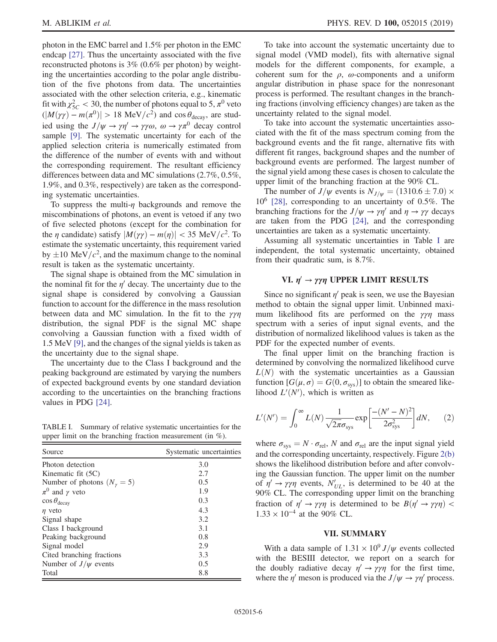photon in the EMC barrel and 1.5% per photon in the EMC endcap [\[27\]](#page-6-16). Thus the uncertainty associated with the five reconstructed photons is 3% (0.6% per photon) by weighting the uncertainties according to the polar angle distribution of the five photons from data. The uncertainties associated with the other selection criteria, e.g., kinematic fit with  $\chi_{5C}^2 < 30$ , the number of photons equal to 5,  $\pi^0$  veto  $(|M(\gamma\gamma) - m(\pi^0)| > 18 \text{ MeV}/c^2)$  and cos  $\theta_{\text{decay}}$ , are studied using the  $J/\psi \rightarrow \gamma \eta' \rightarrow \gamma \gamma \omega$ ,  $\omega \rightarrow \gamma \pi^0$  decay control sample [\[9\].](#page-6-4) The systematic uncertainty for each of the applied selection criteria is numerically estimated from the difference of the number of events with and without the corresponding requirement. The resultant efficiency differences between data and MC simulations (2.7%, 0.5%, 1.9%, and 0.3%, respectively) are taken as the corresponding systematic uncertainties.

To suppress the multi- $\eta$  backgrounds and remove the miscombinations of photons, an event is vetoed if any two of five selected photons (except for the combination for the  $\eta$  candidate) satisfy  $|M(\gamma \gamma) - m(\eta)| < 35 \text{ MeV}/c^2$ . To estimate the systematic uncertainty, this requirement varied by  $\pm 10 \text{ MeV}/c^2$ , and the maximum change to the nominal result is taken as the systematic uncertainty.

The signal shape is obtained from the MC simulation in the nominal fit for the  $\eta'$  decay. The uncertainty due to the signal shape is considered by convolving a Gaussian function to account for the difference in the mass resolution between data and MC simulation. In the fit to the  $\gamma\gamma\eta$ distribution, the signal PDF is the signal MC shape convolving a Gaussian function with a fixed width of 1.5 MeV [\[9\],](#page-6-4) and the changes of the signal yields is taken as the uncertainty due to the signal shape.

The uncertainty due to the Class I background and the peaking background are estimated by varying the numbers of expected background events by one standard deviation according to the uncertainties on the branching fractions values in PDG [\[24\].](#page-6-13)

<span id="page-5-0"></span>TABLE I. Summary of relative systematic uncertainties for the upper limit on the branching fraction measurement (in %).

| Source                               | Systematic uncertainties |
|--------------------------------------|--------------------------|
| Photon detection                     | 3.0                      |
| Kinematic fit $(5C)$                 | 2.7                      |
| Number of photons $(N_{\gamma} = 5)$ | 0.5                      |
| $\pi^0$ and $\gamma$ veto            | 1.9                      |
| $\cos\theta_{\text{decay}}$          | 0.3                      |
| $\eta$ veto                          | 4.3                      |
| Signal shape                         | 3.2                      |
| Class I background                   | 3.1                      |
| Peaking background                   | 0.8                      |
| Signal model                         | 2.9                      |
| Cited branching fractions            | 3.3                      |
| Number of $J/\psi$ events            | 0.5                      |
| Total                                | 8.8                      |

To take into account the systematic uncertainty due to signal model (VMD model), fits with alternative signal models for the different components, for example, a coherent sum for the  $\rho$ ,  $\omega$ -components and a uniform angular distribution in phase space for the nonresonant process is performed. The resultant changes in the branching fractions (involving efficiency changes) are taken as the uncertainty related to the signal model.

To take into account the systematic uncertainties associated with the fit of the mass spectrum coming from the background events and the fit range, alternative fits with different fit ranges, background shapes and the number of background events are performed. The largest number of the signal yield among these cases is chosen to calculate the upper limit of the branching fraction at the 90% CL.

The number of  $J/\psi$  events is  $N_{J/\psi} = (1310.6 \pm 7.0) \times$ 106 [\[28\],](#page-6-17) corresponding to an uncertainty of 0.5%. The branching fractions for the  $J/\psi \rightarrow \gamma \eta'$  and  $\eta \rightarrow \gamma \gamma$  decays are taken from the PDG [\[24\],](#page-6-13) and the corresponding uncertainties are taken as a systematic uncertainty.

Assuming all systematic uncertainties in Table [I](#page-5-0) are independent, the total systematic uncertainty, obtained from their quadratic sum, is 8.7%.

### VI.  $\eta' \rightarrow \gamma \gamma \eta$  UPPER LIMIT RESULTS

Since no significant  $\eta'$  peak is seen, we use the Bayesian method to obtain the signal upper limit. Unbinned maximum likelihood fits are performed on the  $\gamma\gamma\eta$  mass spectrum with a series of input signal events, and the distribution of normalized likelihood values is taken as the PDF for the expected number of events.

The final upper limit on the branching fraction is determined by convolving the normalized likelihood curve  $L(N)$  with the systematic uncertainties as a Gaussian function  $[G(\mu, \sigma) = G(0, \sigma_{\text{sys}})]$  to obtain the smeared likelihood  $L'(N')$ , which is written as

<span id="page-5-1"></span>
$$
L'(N') = \int_0^\infty L(N) \frac{1}{\sqrt{2\pi}\sigma_{\rm sys}} \exp\left[\frac{-(N'-N)^2}{2\sigma_{\rm sys}^2}\right] dN,\qquad(2)
$$

where  $\sigma_{sys} = N \cdot \sigma_{rel}$ , N and  $\sigma_{rel}$  are the input signal yield and the corresponding uncertainty, respectively. Figure [2\(b\)](#page-4-1) shows the likelihood distribution before and after convolving the Gaussian function. The upper limit on the number of  $\eta' \rightarrow \gamma \gamma \eta$  events,  $N'_{UL}$ , is determined to be 40 at the 90% CL. The corresponding upper limit on the branching fraction of  $\eta' \rightarrow \gamma \gamma \eta$  is determined to be  $B(\eta' \rightarrow \gamma \gamma \eta)$  <  $1.33 \times 10^{-4}$  at the 90% CL.

## VII. SUMMARY

With a data sample of  $1.31 \times 10^9 J/\psi$  events collected with the BESIII detector, we report on a search for the doubly radiative decay  $\eta' \rightarrow \gamma \gamma \eta$  for the first time, where the  $\eta'$  meson is produced via the  $J/\psi \rightarrow \gamma \eta'$  process.